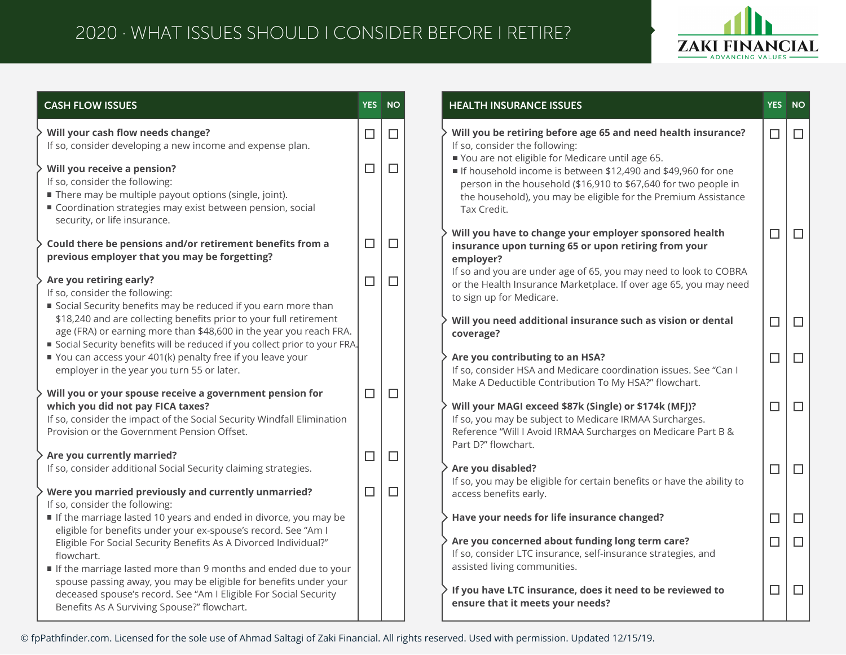## 2020 · WHAT ISSUES SHOULD I CONSIDER BEFORE I RETIRE?



| <b>CASH FLOW ISSUES</b>                                                                                                                                                                                                                                                                                               | <b>YES</b>       | <b>NO</b>        | <b>HEALTH INSURANCE ISSUES</b>                                                                                                                                                                                                                                                                                                                                         | <b>YES</b> | <b>NO</b> |
|-----------------------------------------------------------------------------------------------------------------------------------------------------------------------------------------------------------------------------------------------------------------------------------------------------------------------|------------------|------------------|------------------------------------------------------------------------------------------------------------------------------------------------------------------------------------------------------------------------------------------------------------------------------------------------------------------------------------------------------------------------|------------|-----------|
| Will your cash flow needs change?<br>If so, consider developing a new income and expense plan.<br>Will you receive a pension?<br>If so, consider the following:<br>There may be multiple payout options (single, joint).<br>Coordination strategies may exist between pension, social<br>security, or life insurance. | $\Box$<br>$\Box$ | $\Box$<br>$\Box$ | Will you be retiring before age 65 and need health insurance?<br>If so, consider the following:<br>You are not eligible for Medicare until age 65.<br>If household income is between \$12,490 and \$49,960 for one<br>person in the household (\$16,910 to \$67,640 for two people in<br>the household), you may be eligible for the Premium Assistance<br>Tax Credit. | $\Box$     | $\Box$    |
| Could there be pensions and/or retirement benefits from a<br>previous employer that you may be forgetting?<br>Are you retiring early?<br>If so, consider the following:<br>Social Security benefits may be reduced if you earn more than                                                                              | $\Box$<br>$\Box$ | $\Box$<br>$\Box$ | Will you have to change your employer sponsored health<br>insurance upon turning 65 or upon retiring from your<br>employer?<br>If so and you are under age of 65, you may need to look to COBRA<br>or the Health Insurance Marketplace. If over age 65, you may need<br>to sign up for Medicare.                                                                       | $\Box$     | $\Box$    |
| \$18,240 and are collecting benefits prior to your full retirement<br>age (FRA) or earning more than \$48,600 in the year you reach FRA.<br>Social Security benefits will be reduced if you collect prior to your FRA.                                                                                                |                  |                  | Will you need additional insurance such as vision or dental<br>coverage?                                                                                                                                                                                                                                                                                               | $\Box$     | $\Box$    |
| You can access your 401(k) penalty free if you leave your<br>employer in the year you turn 55 or later.                                                                                                                                                                                                               |                  |                  | Are you contributing to an HSA?<br>If so, consider HSA and Medicare coordination issues. See "Can I<br>Make A Deductible Contribution To My HSA?" flowchart.                                                                                                                                                                                                           | $\Box$     | $\Box$    |
| Will you or your spouse receive a government pension for<br>which you did not pay FICA taxes?<br>If so, consider the impact of the Social Security Windfall Elimination<br>Provision or the Government Pension Offset.                                                                                                | $\Box$           | $\Box$           | Will your MAGI exceed \$87k (Single) or \$174k (MFJ)?<br>If so, you may be subject to Medicare IRMAA Surcharges.<br>Reference "Will I Avoid IRMAA Surcharges on Medicare Part B &                                                                                                                                                                                      | $\Box$     | $\Box$    |
| Are you currently married?<br>If so, consider additional Social Security claiming strategies.                                                                                                                                                                                                                         | $\Box$           | $\Box$           | Part D?" flowchart.<br>Are you disabled?<br>If so, you may be eligible for certain benefits or have the ability to                                                                                                                                                                                                                                                     | $\Box$     | $\Box$    |
| Were you married previously and currently unmarried?<br>If so, consider the following:<br>If the marriage lasted 10 years and ended in divorce, you may be<br>eligible for benefits under your ex-spouse's record. See "Am I                                                                                          | $\Box$           | $\Box$           | access benefits early.<br>Have your needs for life insurance changed?                                                                                                                                                                                                                                                                                                  | $\Box$     | $\Box$    |
| Eligible For Social Security Benefits As A Divorced Individual?"<br>flowchart.<br>If the marriage lasted more than 9 months and ended due to your                                                                                                                                                                     |                  |                  | Are you concerned about funding long term care?<br>If so, consider LTC insurance, self-insurance strategies, and<br>assisted living communities.                                                                                                                                                                                                                       | $\Box$     | $\Box$    |
| spouse passing away, you may be eligible for benefits under your<br>deceased spouse's record. See "Am I Eligible For Social Security<br>Benefits As A Surviving Spouse?" flowchart.                                                                                                                                   |                  |                  | If you have LTC insurance, does it need to be reviewed to<br>ensure that it meets your needs?                                                                                                                                                                                                                                                                          | $\Box$     | $\Box$    |

© fpPathfinder.com. Licensed for the sole use of Ahmad Saltagi of Zaki Financial. All rights reserved. Used with permission. Updated 12/15/19.